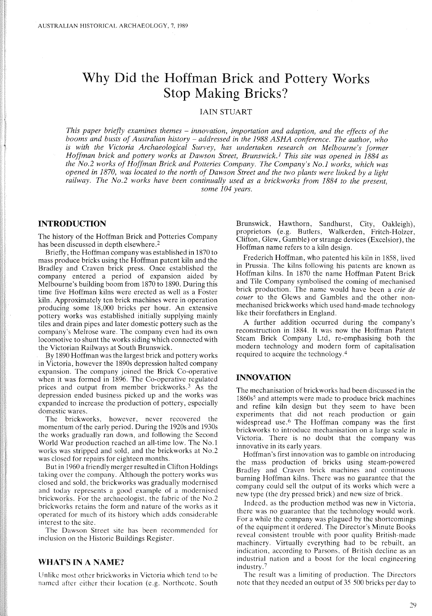# **Why Did the Hoffman Brick and Pottery Works Stop Making Bricks?**

## lAIN STUART

*This paper briefly examines themes* - *innovation, importation and adaption, and the effects of the booms and busts of Australian history* - *addressed in the* 1988 *ASHA conference. The author, who is with the Victoria Archaeological Survey, has undertaken research on Melbourne's former Hoffman brick and pottery works at Dawson Street, Brunswick.I This site was opened in* 1884 *as the No.2 works of Hoffman Brick and Potteries Company. The Company's No.1 works, which was* opened in 1870, was located to the north of Dawson Street and the two plants were linked by a light *railway. The No.2 works have been continually used as a brickworks from* 1884 *to the present, some 104 years.*

## **INTRODUCTION**

The history of the Hoffman Brick and Potteries Company has been discussed in depth elsewhere.<sup>2</sup>

Briefly, the Hoffman company was established in 1870 to mass produce bricks using the Hoffman patent kiln and the Bradley and Craven brick press. Once established the company entered a period of expansion aided by Melbourne's building boom from 1870 to 1890. During this time five Hoffman kilns were erected as well as a Foster kiln. Approximately ten brick machines were in operation producing some 18,000 bricks per hour. An extensive pottery works was established initially supplying mainly tiles and drain pipes and later domestic pottery such as the company's Melrose ware. The company even had its own locomotive to shunt the works siding which connected with the Victorian Railways at South Brunswick.

By 1890 Hoffman was the largest brick and pottery works in Victoria, however the 1890s depression halted company expansion. The company joined the Brick Co-operative when it was formed in 1896. The Co-operative regulated prices and output from member brickworks.<sup>3</sup> As the depression ended business picked up and the works was expanded to increase the production of pottery, especially domestic wares.

The brickworks, however, never recovered the momentum of the early period. During the 1920s and 1930s the works gradually ran down, and following the Second World War production reached an all-time low. The No.1 works was stripped and sold, and the brickworks at No.2 was closed for repairs for eighteen months.

But in 1960 a friendly merger resulted in Clifton Holdings taking over the company. Although the pottery works was closed and sold, the brickworks was gradually modernised and today represents a good example of a modernised brickworks. For the archaeologist, the fabric of the No.2 brickworks retains the form and nature of the works as it operated for much of its history which adds considerable interest to the site.

The Dawson Street site has been recommended for inclusion on the Historic Buildings Register.

## WHAT'S IN A NAME?

Unlike most other brickworks in Victoria which tend to be named after either their location (e.g. Northcote, South Brunswick, Hawthorn, Sandhurst, City, Oakleigh), proprietors (e.g. Butlers, Walkerden, Fritch-Holzer, Clifton, Glew, Gamble) or strange devices (Excelsior), the Hoffman name refers to a kiln design.

Frederich Hoffman, who patented his kiln in 1858, lived in Prussia. The kilns following his patents are known as Hoffman kilns. In 1870 the name Hoffman Patent Brick and Tile Company symbolised the coming of mechanised brick production. The name would have been a *erie de eouer* to the Glews and Gambles and the other nonmechanised brickworks which used hand-made technology like their forefathers in England.

A further addition occurred during the company's reconstruction in 1884. It was now the Hoffman Patent Steam Brick Company Ltd, re-emphasising both the modern technology and modern form of capitalisation required to acquire the technology. <sup>4</sup>

## **INNOVATION**

The mechanisation of brickworks had been discussed in the 1860s5 and attempts were made to produce brick machines and refine kiln design but they seem to have been experiments that did not reach production or gain widespread use.<sup>6</sup> The Hoffman company was the first brickworks to introduce mechanisation on a large scale in Victoria. There is no doubt that the company was innovative in its early years.

Hoffman's first innovation was to gamble on introducing the mass production of bricks using steam-powered Bradley and Craven brick machines and continuous burning Hoffman kilns. There was no guarantee that the company could sell the output of its works which were a new type (the dry pressed brick) and new size of brick.

Indeed, as the production method was new in Victoria, there was no guarantee that the technology would work. For a while the company was plagued by the shortcomings of the equipment it ordered. The Director's Minute Books reveal consistent trouble with poor quality British-made machinery. Virtually everything had to be rebuilt, an indication, according to Parsons, of British decline as an industrial nation and a boost for the local engineering industry.7

The result was a limiting of production. The Directors notc that they needed an output of 35 500 bricks per day to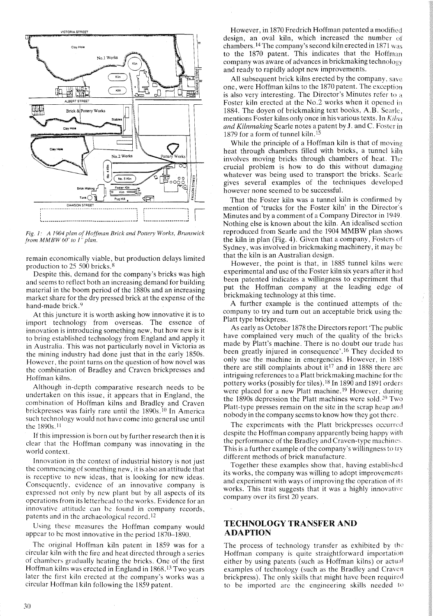

*Fig.* 1: *A 1904 plan of Hoffman Brick and Pottery Works, Brunswick from M M BW 60' to* 1" *plan.*

remain economically viable, but production delays limited production to 25 500 bricks. 8

Despite this, demand for the company's bricks was high and seems to reflect both an increasing demand for building material in the boom period of the 1880s and an increasing market share for the dry pressed brick at the expense of the hand-made brick.<sup>9</sup>

At this juncture it is worth asking how innovative it is to import technology from overseas. The essence of innovation is introducing something new, but how new is it to bring established technology from England and apply it in Australia. This was not particularly novel in Victoria as the mining industry had done just that in the early 1850s. However, the point turns on the question of how novel was the combination of Bradley and Craven brickpresses and Hoffman kilns.

Although in-depth comparative research needs to be undertaken on this issue, it appears that in England, the combination of Hoffman kilns and Bradley and Craven brickpresses was fairly rare until the  $1890s$ . <sup>10</sup> In America such technology would not have come into general use until the 1890s. <sup>11</sup>

If this impression is born out by further research then it is clear that the Hoffman company was innovating in the world context.

Innovation in the context of industrial history is not just the commencing of something new, it is also an attitude that is receptive to new ideas, that is looking for new ideas. Consequently, evidence of an innovative company is expressed not only by new plant but by all aspects of its operations from its letterhead to the works. Evidence for an innovative attitude can be found in company records, patents and in the archaeological record.<sup>12</sup>

Using these measures the Hoffman company would appear to be most innovative in the period 1870-1890.

The original Hoffman kiln patent in 1859 was for a circular kiln with the fire and heat directed through a series of chambers gradually heating the bricks. One of the first Hoffman kilns was erected in England in 1868. <sup>13</sup> Two years later the first kiln erected at the company's works was a circular Hoffman kiln following the 1859 patent.

However, in 1870 Fredrich Hoffman patented a modified design, an oval kiln, which increased the number of chambers. <sup>14</sup> The company's second kiln erected in 1871 was to the 1870 patent. This indicates that the Hoffman company was aware of advances in brickmaking technology and ready to rapidly adopt new improvements.

All subsequent brick kilns erected by the company, save one, were Hoffman kilns to the 1870 patent. The exception is also very interesting. The Director's Minutes refer to a Foster kiln erected at the No.2 works when it opened in 1884. The doyen of brickmaking text books, A.B. Searle, mentions Foster kilns only once in his various texts. In *Kilns and Kilnmaking* Searle notes a patent by J. and C. Foster in 1879 for a form of tunnel kiln.<sup>15</sup>

While the principle of a Hoffman kiln is that of moving heat through chambers filled with bricks, a tunnel kiln involves moving bricks through chambers of heat. The crucial problem is how to do this without damaging whatever was being used to transport the bricks. Searle gives several examples of the techniques developed however none seemed to be successful.

That the Foster kiln was a tunnel kiln is confirmed by mention of 'trucks for the Foster kiln' in the Director's Minutes and by a comment of a Company Director in 1949. Nothing else is known about the kiln. An idealised section reproduced from Searle and the 1904 MMBW plan shows the kiln in plan (Fig. 4). Given that a company, Fosters of Sydney, was involved in brickmaking machinery, it may be that the kiln is an Australian design.

However, the point is that, in 1885 tunnel kilns were experimental and use of the Foster kiln six years after it had been patented indicates a willingness to experiment that put the Hoffman company at the leading edge of brickmaking technology at this time.

A further example is the continued attempts of the company to try and turn out an acceptable brick using the Platt type brickpress.

As early as October 1878 the Directors report 'The public have complained very much of the quality of the bricks made by Platt's machine. There is no doubt our trade has been greatly injured in consequence'.<sup>16</sup> They decided to only use the machine in emergencies. However, in 1885 there are still complaints about it<sup>17</sup> and in 1888 there are intriguing references to a Platt brickmaking machine for the pottery works (possibly for tiles).18 In 1890 and 1891 orders were placed for a new Platt machine.<sup>19</sup> However, during the 1890s depression the Platt machines were sold.<sup>20</sup> Two Platt-type presses remain on the site in the scrap heap and nobody in the company seems to know how they got there.

The experiments with the Platt brickpresses occurred despite the Hoffman company apparently being happy with the performance of the Bradley and Craven-type machines This is a further example of the company's willingness to try different methods of brick manufacture.

Together these examples show that, having established its works, the company was willing to adopt improvements and experiment with ways of improving the operation of its works. This trait suggests that it was a highly innovative company over its first 20 years.

## TECHNOLOGY TRANSFER AND ADAPTION

The process of technology transfer as exhibited by the Hoffman company is quite straightforward importation either by using patents (such as Hoffman kilns) or actual examples of technology (such as the Bradley and Craven brickpress). The only skills that might have been required to be imported are the engineering skills needed to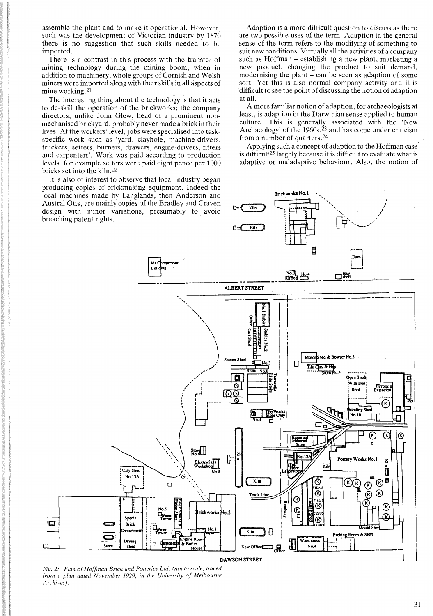assemble the plant and to make it operational. However, such was the development of Victorian industry by 1870 there is no suggestion that such skills needed to be imported.

There is a contrast in this process with the transfer of mining technology during the mining boom, when in addition to machinery, whole groups of Cornish and Welsh miners were imported along with their skills in all aspects of mine working.<sup>21</sup>

The interesting thing about the technology is that it acts to de-skill the operation of the brickworks; the company, directors, unlike John Glew, head of a prominent nonmechanised brickyard, probably never made a brick in their lives. At the workers' level, jobs were specialised into taskspecific work such as 'yard, clayhole, machine-drivers, truckers, setters, burners, drawers, engine-drivers, fitters and carpenters'. Work was paid according to production levels, for example setters were paid eight pence per 1000 bricks set into the kiln. 22

It is also of interest to observe that local industry began producing copies of brickmaking equipment. Indeed the local machines made by Langlands, then Anderson and Austral Otis, are mainly copies of the Bradley and Craven design with minor variations, presumably to avoid breaching patent rights.

Adaption is a more difficult question to discuss as there are two possible uses of the term. Adaption in the general sense of the term refers to the modifying of something to suit new conditions. Virtually all the activities of a company such as Hoffman - establishing a new plant, marketing a new product, changing the product to suit demand, modernising the plant  $-$  can be seen as adaption of some sort. Yet this is also normal company activity and it is difficult to see the point of discussing the notion of adaption at all.

A more familiar notion of adaption, for archaeologists at least, is adaption in the Darwinian sense applied to human culture. This is generally associated with the 'New Archaeology' of the 1960s, $2^3$  and has come under criticism from a number of quarters.24

Applying such a concept of adaption to the Hoffman case is difficult<sup>25</sup> largely because it is difficult to evaluate what is adaptive or maladaptive behaviour. Also, the notion of

> ". " '. ....

Brickworks No.1

**In the contract of the contract of the contract of the contract of the contract of the contract of the contract of the contract of the contract of the contract of the contract of the contract of the contract of the contra** / .<br>i



D::: Kiln

*Fig.* 2: *Plan ofHoffman Brick and Potteries Ltd. (not to scale, traced from a plan dated November* 1929, *in the University of Melbourne Archives).*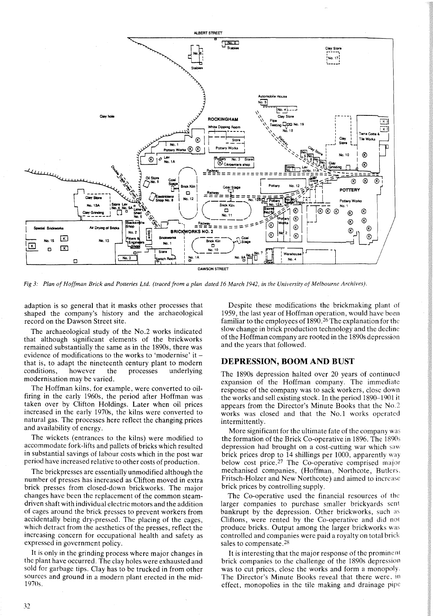

Fig 3: Plan of Hoffman Brick and Potteries Ltd. (traced from a plan dated 16 March 1942, in the University of Melbourne Archives).

adaption is so general that it masks other processes that shaped the company's history and the archaeological record on the Dawson Street site.

The archaeological study of the No.2 works indicated that although significant elements of the brickworks remained substantially the same as in the 1890s, there was evidence of modifications to the works to 'modernise' it that is, to adapt the nineteenth century plant to modern conditions, however the processes underlying modernisation may be varied.

The Hoffman kilns, for example, were converted to oilfiring in the early 1960s, the period after Hoffman was taken over by Clifton Holdings. Later when oil prices increased in the early 1970s, the kilns were converted to natural gas. The processes here reflect the changing prices and availability of energy.

The wickets (entrances to the kilns) were modified to accommodate fork-lifts and pallets of bricks which resulted in substantial savings of labour costs which in the post war period have increased relative to other costs of production.

The brickpresses are essentially unmodified although the number of presses has increased as Clifton moved in extra brick presses from closed-down brickworks. The major changes have been the replacement of the common steamdriven shaft with individual electric motors and the addition of cages around the brick presses to prevent workers from accidentally being dry-pressed. The placing of the cages, which detract from the aesthetics of the presses, reflect the increasing concern for occupational health and safety as expressed in government policy.

It is only in the grinding process where major changes in the plant have occurred. The clay holes were exhausted and sold for garbage tips. Clay has to be trucked in from other sources and ground in a modern plant erected in the mid-1970s.

Despite these modifications the brickmaking plant of 1959, the last year of Hoffman operation, would have been familiar to the employees of 1890.<sup>26</sup> The explanation for the slow change in brick production technology and the decline of the Hoffman company are rooted in the 1890s depression and the years that followed.

### **DEPRESSION, BOOM** AND **BUST**

The 1890s depression halted over 20 years of continued expansion of the Hoffman company. The immediate response of the company was to sack workers, close down the works and sell existing stock. In the period 1890-1901 it appears from the Director's Minute Books that the No.2 works was closed and that the No.1 works operated intermittently.

More significant for the ultimate fate of the company was the formation of the Brick Co-operative in 1896. The 1890s depression had brought on a cost-cutting war which saw brick prices drop to 14 shillings per 1000, apparently way below cost price.<sup>27</sup> The Co-operative comprised major mechanised companies, (Hoffman, Northcote, Butlers. Fritsch-Holzer and New Northcote) and aimed to increase brick prices by controlling supply.

The Co-operative used the financial resources of the larger companies to purchase smaller brickyards sent bankrupt by the depression. Other brickworks, such as Cliftons, were rented by the Co-operative and did not produce bricks. Output among the larger brickworks was controlled and companies were paid a royalty on total brick sales to compensate.28

It is interesting that the major response of the prominent brick companies to the challenge of the 1890s depression was to cut prices, close the works and form a monopoly. The Director's Minute Books reveal that there were. in effect, monopolies in the tile making and drainage pipe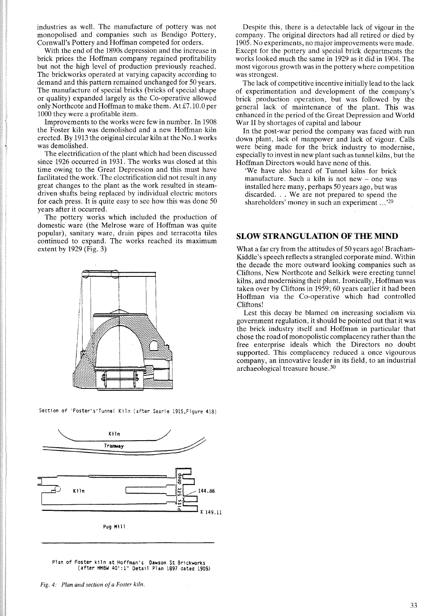industries as well. The manufacture of pottery was not monopolised and companies such as Bendigo Pottery, Cornwall's Pottery and Hoffman competed for orders.

With the end of the 1890s depression and the increase in brick prices the Hoffman company regained profitability but not the high level of production previously reached. The brickworks operated at varying capacity according to demand and this pattern remained unchanged for 50 years. The manufacture of special bricks (bricks of special shape or quality) expanded largely as the Co-operative allowed only Northcote and Hoffman to make them. At £7 .10.0 per 1000 they were a profitable item.

Improvements to the works were few in number. In 1908 the Foster kiln was demolished and a new Hoffman kiln erected. By 1913 the original circular kiln at the No.1 works was demolished.

The electrification of the plant which had been discussed since 1926 occurred in 1931. The works was closed at this time owing to the Great Depression and this must have facilitated the work. The electrification did not result in any great changes to the plant as the work resulted in steamdriven shafts being replaced by individual electric motors for each press. It is quite easy to see how this was done 50 years after it occurred.

The pottery works which included the production of domestic ware (the Melrose ware of Hoffman was quite popular), sanitary ware, drain pipes and terracotta tiles continued to expand. The works reached its maximum extent by 1929 (Fig. 3)



Section of 'Foster's'Tunnel Kiln (after Searle 19l5.Figure 418)



Plan of Foster kiln at Hoffman's Dawson St Br1ckworks (after MMBW 40': 1" Detail Plan 1897 dated 1905)

*Fig.* 4: *Plan and section ofa Foster kiln.*

Despite this, there is a detectable lack of vigour in the company. The original directors had all retired or died by 1905. No experiments, no major improvements were made. Except for the pottery and special brick departments the works looked much the same in 1929 as it did in 1904. The most vigorous growth was in the pottery where competition was strongest.

The lack of competitive incentive initially lead to the lack of experimentation and development of the company's brick production operation, but was followed by the general lack of maintenance of the plant. This was enhanced in the period of the Great Depression and Worid War II by shortages of capital and labour

In the post-war period the company was faced with run down plant, lack of manpower and lack of vigour. Calls were being made for the brick industry to modernise, especially to invest in new plant such as tunnel kilns, but the Hoffman Directors would have none of this.

'We have also heard of Tunnel kilns for brick manufacture. Such a kiln is not new – one was installed here many, perhaps 50 years ago, but was discarded... We are not prepared to spend the shareholders' money in such an experiment ... '29

## **SLOW STRANGULATION OF THE MIND**

What a far cry from the attitudes of 50 years ago! Bracham-KiddIe's speech reflects a strangled corporate mind. Within the decade the more outward looking companies such as Cliftons, New Northcote and Selkirk were erecting tunnel kilns, and modernising their plant. Ironically, Hoffman was taken over by Cliftons in 1959; 60 years earlier it had been Hoffman via the Co-operative which had controlled Cliftons!

Lest this decay be blamed on increasing socialism via government regulation, it should be pointed out that it was the brick industry itself and Hoffman in particular that chose the road of monopolistic complacency rather than the free enterprise ideals which the Directors no doubt supported. This complacency reduced a once vigourous company, an innovative leader in its field, to an industrial archaeological treasure house. <sup>30</sup>